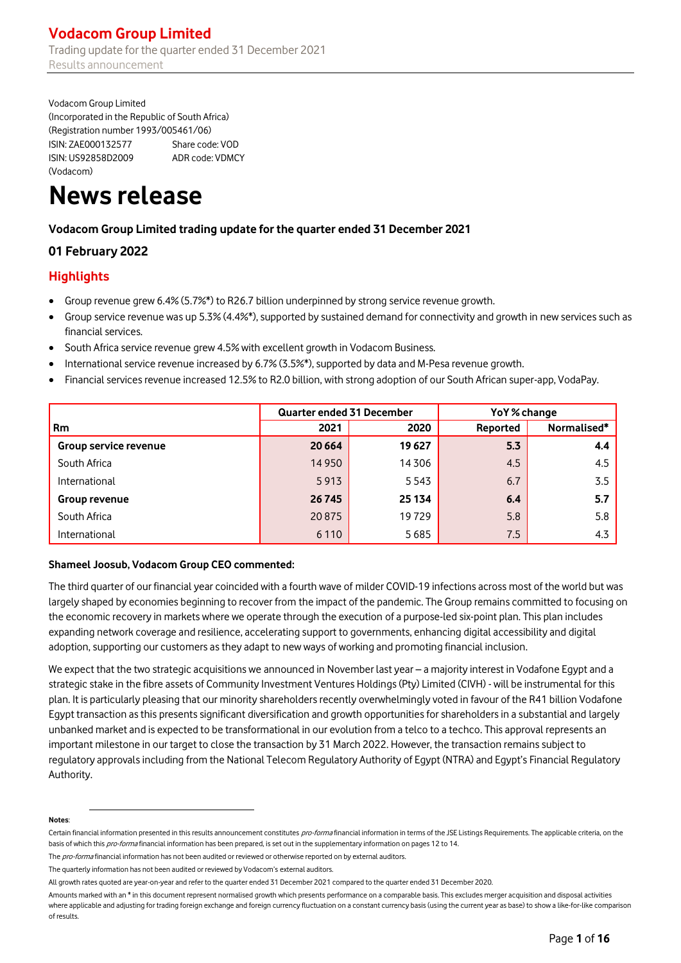# **Vodacom Group Limited**

Trading update for the quarter ended 31 December 2021 Results announcement

Vodacom Group Limited (Incorporated in the Republic of South Africa) (Registration number 1993/005461/06) ISIN: ZAE000132577 Share code: VOD ISIN: US92858D2009 ADR code: VDMCY (Vodacom)

# **News release**

# **Vodacom Group Limited trading update for the quarter ended 31 December 2021**

# **01 February 2022**

# **Highlights**

- Group revenue grew 6.4% (5.7%\*) to R26.7 billion underpinned by strong service revenue growth.
- Group service revenue was up 5.3% (4.4%\*), supported by sustained demand for connectivity and growth in new services such as financial services.
- South Africa service revenue grew 4.5% with excellent growth in Vodacom Business.
- International service revenue increased by 6.7% (3.5%\*), supported by data and M-Pesa revenue growth.
- Financial services revenue increased 12.5% to R2.0 billion, with strong adoption of our South African super-app, VodaPay.

|                       | Quarter ended 31 December |        | YoY% change |             |  |
|-----------------------|---------------------------|--------|-------------|-------------|--|
| <b>Rm</b>             | 2021                      | 2020   | Reported    | Normalised* |  |
| Group service revenue | 20 6 64                   | 19627  | 5.3         | 4.4         |  |
| South Africa          | 14 9 50                   | 14306  | 4.5         | 4.5         |  |
| International         | 5913                      | 5543   | 6.7         | 3.5         |  |
| Group revenue         | 26 745                    | 25 134 | 6.4         | 5.7         |  |
| South Africa          | 20875                     | 19729  | 5.8         | 5.8         |  |
| International         | 6 1 1 0                   | 5685   | 7.5         | 4.3         |  |

### **Shameel Joosub, Vodacom Group CEO commented:**

The third quarter of our financial year coincided with a fourth wave of milder COVID-19 infections across most of the world but was largely shaped by economies beginning to recover from the impact of the pandemic. The Group remains committed to focusing on the economic recovery in markets where we operate through the execution of a purpose-led six-point plan. This plan includes expanding network coverage and resilience, accelerating support to governments, enhancing digital accessibility and digital adoption, supporting our customers as they adapt to new ways of working and promoting financial inclusion.

We expect that the two strategic acquisitions we announced in November last year – a majority interest in Vodafone Egypt and a strategic stake in the fibre assets of Community Investment Ventures Holdings (Pty) Limited (CIVH) - will be instrumental for this plan. It is particularly pleasing that our minority shareholders recently overwhelmingly voted in favour of the R41 billion Vodafone Egypt transaction as this presents significant diversification and growth opportunities for shareholders in a substantial and largely unbanked market and is expected to be transformational in our evolution from a telco to a techco. This approval represents an important milestone in our target to close the transaction by 31 March 2022. However, the transaction remains subject to regulatory approvals including from the National Telecom Regulatory Authority of Egypt (NTRA) and Egypt's Financial Regulatory Authority.

#### **Notes**:

The pro-forma financial information has not been audited or reviewed or otherwise reported on by external auditors.

Certain financial information presented in this results announcement constitutes pro-forma financial information in terms of the JSE Listings Requirements. The applicable criteria, on the basis of which this pro-forma financial information has been prepared, is set out in the supplementary information on pages 12 to 14.

The quarterly information has not been audited or reviewed by Vodacom's external auditors.

All growth rates quoted are year-on-year and refer to the quarter ended 31 December 2021 compared to the quarter ended 31 December 2020.

Amounts marked with an \* in this document represent normalised growth which presents performance on a comparable basis. This excludes merger acquisition and disposal activities where applicable and adjusting for trading foreign exchange and foreign currency fluctuation on a constant currency basis (using the current year as base) to show a like-for-like comparison of results.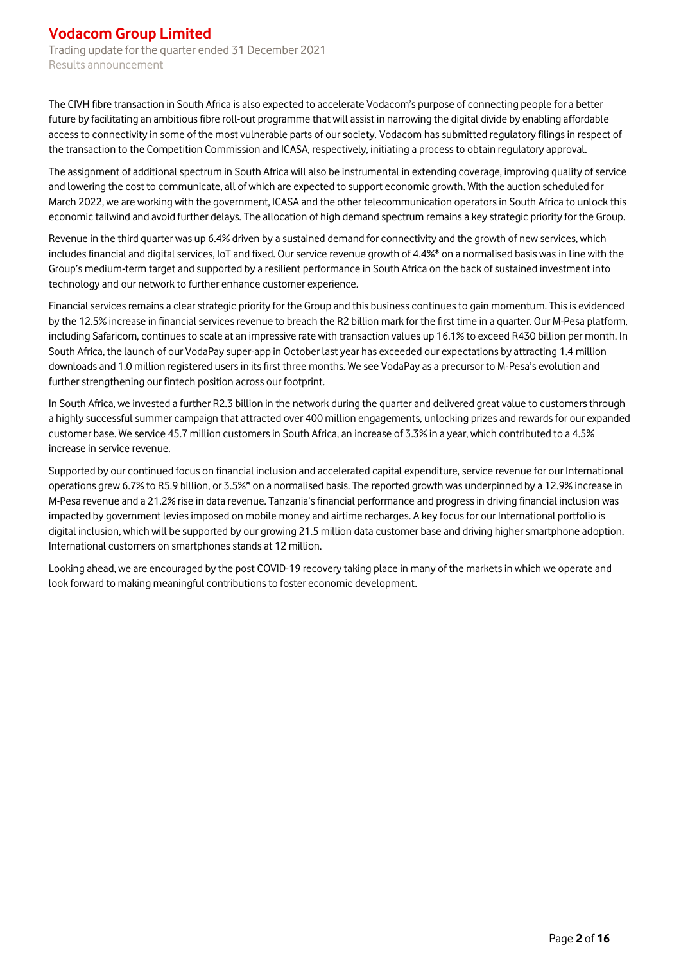The CIVH fibre transaction in South Africa is also expected to accelerate Vodacom's purpose of connecting people for a better future by facilitating an ambitious fibre roll-out programme that will assist in narrowing the digital divide by enabling affordable access to connectivity in some of the most vulnerable parts of our society. Vodacom has submitted regulatory filings in respect of the transaction to the Competition Commission and ICASA, respectively, initiating a process to obtain regulatory approval.

The assignment of additional spectrum in South Africa will also be instrumental in extending coverage, improving quality of service and lowering the cost to communicate, all of which are expected to support economic growth. With the auction scheduled for March 2022, we are working with the government, ICASA and the other telecommunication operators in South Africa to unlock this economic tailwind and avoid further delays. The allocation of high demand spectrum remains a key strategic priority for the Group.

Revenue in the third quarter was up 6.4% driven by a sustained demand for connectivity and the growth of new services, which includes financial and digital services, IoT and fixed. Our service revenue growth of 4.4%\* on a normalised basis was in line with the Group's medium-term target and supported by a resilient performance in South Africa on the back of sustained investment into technology and our network to further enhance customer experience.

Financial services remains a clear strategic priority for the Group and this business continuesto gain momentum. This is evidenced by the 12.5% increase in financial services revenue to breach the R2 billion mark for the first time in a quarter. Our M-Pesa platform, including Safaricom, continues to scale at an impressive rate with transaction values up 16.1% to exceed R430 billion per month. In South Africa, the launch of our VodaPay super-app in October last year has exceeded our expectations by attracting 1.4 million downloads and 1.0 million registered users in its first three months. We see VodaPay as a precursor to M-Pesa's evolution and further strengthening our fintech position across our footprint.

In South Africa, we invested a further R2.3 billion in the network during the quarter and delivered great value to customers through a highly successful summer campaign that attracted over 400 million engagements, unlocking prizes and rewards for our expanded customer base. We service 45.7 million customers in South Africa, an increase of 3.3% in a year, which contributed to a 4.5% increase in service revenue.

Supported by our continued focus on financial inclusion and accelerated capital expenditure, service revenue for our International operations grew 6.7% to R5.9 billion, or 3.5%\* on a normalised basis. The reported growth was underpinned by a 12.9% increase in M-Pesa revenue and a 21.2% rise in data revenue. Tanzania's financial performance and progress in driving financial inclusion was impacted by government levies imposed on mobile money and airtime recharges. A key focus for our International portfolio is digital inclusion, which will be supported by our growing 21.5 million data customer base and driving higher smartphone adoption. International customers on smartphones stands at 12 million.

Looking ahead, we are encouraged by the post COVID-19 recovery taking place in many of the markets in which we operate and look forward to making meaningful contributions to foster economic development.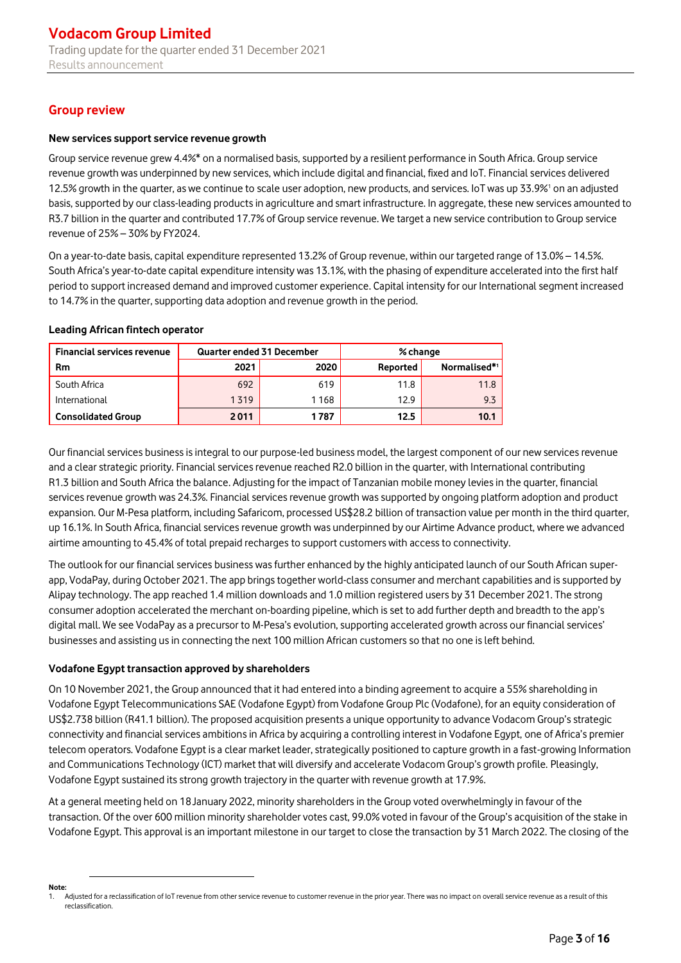# **Group review**

### **New services support service revenue growth**

Group service revenue grew 4.4%\* on a normalised basis, supported by a resilient performance in South Africa. Group service revenue growth was underpinned by new services, which include digital and financial, fixed and IoT. Financial services delivered 12.5% growth in the quarter, as we continue to scale user adoption, new products, and services. IoT was up 33.9%<sup>1</sup> on an adjusted basis, supported by our class-leading products in agriculture and smart infrastructure. In aggregate, these new services amounted to R3.7 billion in the quarter and contributed 17.7% of Group service revenue. We target a new service contribution to Group service revenue of 25% – 30% by FY2024.

On a year-to-date basis, capital expenditure represented 13.2% of Group revenue, within our targeted range of 13.0% – 14.5%. South Africa's year-to-date capital expenditure intensity was 13.1%, with the phasing of expenditure accelerated into the first half period to support increased demand and improved customer experience. Capital intensity for our International segment increased to 14.7% in the quarter, supporting data adoption and revenue growth in the period.

#### **Leading African fintech operator**

| <b>Financial services revenue</b> | <b>Quarter ended 31 December</b> |      | % change |              |  |
|-----------------------------------|----------------------------------|------|----------|--------------|--|
| Rm                                | 2021                             | 2020 | Reported | Normalised*1 |  |
| South Africa                      | 692                              | 619  | 11.8     | 11.8         |  |
| International                     | 1319                             | 1168 | 12.9     | 9.3          |  |
| <b>Consolidated Group</b>         | 2011                             | 1787 | 12.5     | 10.1         |  |

Our financial services business is integral to our purpose-led business model, the largest component of our new services revenue and a clear strategic priority. Financial services revenue reached R2.0 billion in the quarter, with International contributing R1.3 billion and South Africa the balance. Adjusting for the impact of Tanzanian mobile money levies in the quarter, financial services revenue growth was 24.3%. Financial services revenue growth was supported by ongoing platform adoption and product expansion. Our M-Pesa platform, including Safaricom, processed US\$28.2 billion of transaction value per month in the third quarter, up 16.1%. In South Africa, financial services revenue growth was underpinned by our Airtime Advance product, where we advanced airtime amounting to 45.4% of total prepaid recharges to support customers with access to connectivity.

The outlook for our financial services business was further enhanced by the highly anticipated launch of our South African superapp, VodaPay, during October 2021. The app brings together world-class consumer and merchant capabilities and is supported by Alipay technology. The app reached 1.4 million downloads and 1.0 million registered users by 31 December 2021. The strong consumer adoption accelerated the merchant on-boarding pipeline, which is set to add further depth and breadth to the app's digital mall. We see VodaPay as a precursor to M-Pesa's evolution, supporting accelerated growth across our financial services' businesses and assisting us in connecting the next 100 million African customers so that no one is left behind.

### **Vodafone Egypt transaction approved by shareholders**

On 10 November 2021, the Group announced that it had entered into a binding agreement to acquire a 55% shareholding in Vodafone Egypt Telecommunications SAE (Vodafone Egypt) from Vodafone Group Plc (Vodafone), for an equity consideration of US\$2.738 billion (R41.1 billion). The proposed acquisition presents a unique opportunity to advance Vodacom Group's strategic connectivity and financial services ambitions in Africa by acquiring a controlling interest in Vodafone Egypt, one of Africa's premier telecom operators. Vodafone Egypt is a clear market leader, strategically positioned to capture growth in a fast-growing Information and Communications Technology (ICT) market that will diversify and accelerate Vodacom Group's growth profile. Pleasingly, Vodafone Egypt sustained its strong growth trajectory in the quarter with revenue growth at 17.9%.

At a general meeting held on 18January 2022, minority shareholders in the Group voted overwhelmingly in favour of the transaction. Of the over 600 million minority shareholder votes cast, 99.0% voted in favour of the Group's acquisition of the stake in Vodafone Egypt. This approval is an important milestone in our target to close the transaction by 31 March 2022. The closing of the

**Note:**

Adjusted for a reclassification of IoT revenue from other service revenue to customer revenue in the prior year. There was no impact on overall service revenue as a result of this reclassification.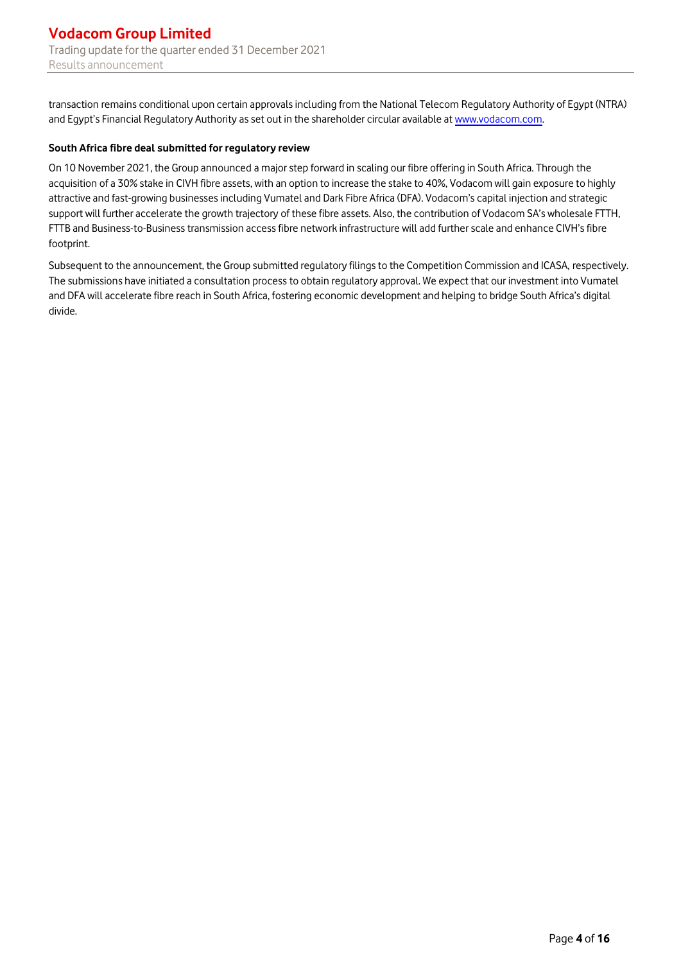transaction remains conditional upon certain approvals including from the National Telecom Regulatory Authority of Egypt (NTRA) and Egypt's Financial Regulatory Authority as set out in the shareholder circular available at [www.vodacom.com.](https://www.vodacom.com/pdf/agm/2022/vodacom-group-circular-to-shareholders-10-december-2021.pdf)

### **South Africa fibre deal submitted for regulatory review**

On 10 November 2021, the Group announced a major step forward in scaling our fibre offering in South Africa. Through the acquisition of a 30% stake in CIVH fibre assets, with an option to increase the stake to 40%, Vodacom will gain exposure to highly attractive and fast-growing businessesincluding Vumatel and Dark Fibre Africa (DFA). Vodacom's capital injection and strategic support will further accelerate the growth trajectory of these fibre assets. Also, the contribution of Vodacom SA's wholesale FTTH, FTTB and Business-to-Business transmission access fibre network infrastructure will add further scale and enhance CIVH's fibre footprint.

Subsequent to the announcement, the Group submitted regulatory filings to the Competition Commission and ICASA, respectively. The submissions have initiated a consultation process to obtain regulatory approval. We expect that our investment into Vumatel and DFA will accelerate fibre reach in South Africa, fostering economic development and helping to bridge South Africa's digital divide.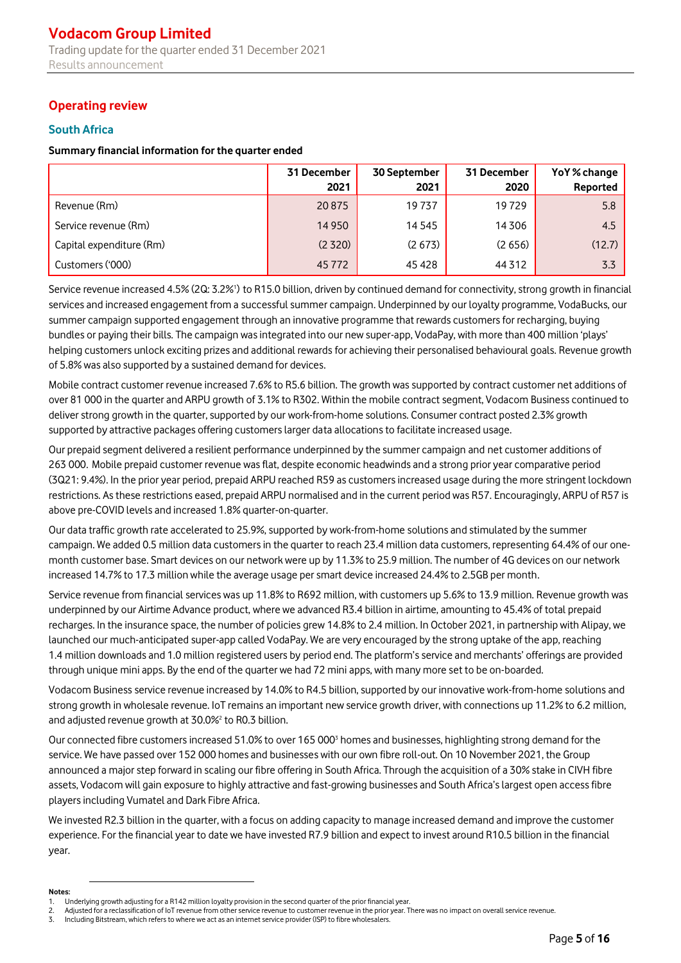# **Operating review**

# **South Africa**

### **Summary financial information for the quarter ended**

|                          | 31 December<br>2021 | 30 September<br>2021 | 31 December<br>2020 | YoY% change<br>Reported |
|--------------------------|---------------------|----------------------|---------------------|-------------------------|
|                          |                     |                      |                     |                         |
| Revenue (Rm)             | 20875               | 19737                | 19729               | 5.8                     |
| Service revenue (Rm)     | 14 9 50             | 14 5 45              | 14306               | 4.5                     |
| Capital expenditure (Rm) | (2320)              | (2673)               | (2656)              | (12.7)                  |
| Customers ('000)         | 45 7 7 2            | 45428                | 44 3 12             | 3.3                     |

Service revenue increased 4.5% (2Q: 3.2%') to R15.0 billion, driven by continued demand for connectivity, strong growth in financial services and increased engagement from a successful summer campaign. Underpinned by our loyalty programme, VodaBucks, our summer campaign supported engagement through an innovative programme that rewards customers for recharging, buying bundles or paying their bills. The campaign was integrated into our new super-app, VodaPay, with more than 400 million 'plays' helping customers unlock exciting prizes and additional rewards for achieving their personalised behavioural goals. Revenue growth of 5.8% was also supported by a sustained demand for devices.

Mobile contract customer revenue increased 7.6% to R5.6 billion. The growth was supported by contract customer net additions of over 81 000 in the quarter and ARPU growth of 3.1% to R302. Within the mobile contract segment, Vodacom Business continued to deliver strong growth in the quarter, supported by our work-from-home solutions. Consumer contract posted 2.3% growth supported by attractive packages offering customers larger data allocations to facilitate increased usage.

Our prepaid segment delivered a resilient performance underpinned by the summer campaign and net customer additions of 263 000. Mobile prepaid customer revenue was flat, despite economic headwinds and a strong prior year comparative period (3Q21: 9.4%). In the prior year period, prepaid ARPU reached R59 as customers increased usage during the more stringent lockdown restrictions. As these restrictions eased, prepaid ARPU normalised and in the current period was R57. Encouragingly, ARPU of R57 is above pre-COVID levels and increased 1.8% quarter-on-quarter.

Our data traffic growth rate accelerated to 25.9%, supported by work-from-home solutions and stimulated by the summer campaign. We added 0.5 million data customers in the quarter to reach 23.4 million data customers, representing 64.4% of our onemonth customer base. Smart devices on our network were up by 11.3% to 25.9 million. The number of 4G devices on our network increased 14.7% to 17.3 million while the average usage per smart device increased 24.4% to 2.5GB per month.

Service revenue from financial services was up 11.8% to R692 million, with customers up 5.6% to 13.9 million. Revenue growth was underpinned by our Airtime Advance product, where we advanced R3.4 billion in airtime, amounting to 45.4% of total prepaid recharges. In the insurance space, the number of policies grew 14.8% to 2.4 million. In October 2021, in partnership with Alipay, we launched our much-anticipated super-app called VodaPay. We are very encouraged by the strong uptake of the app, reaching 1.4 million downloads and 1.0 million registered users by period end. The platform's service and merchants' offerings are provided through unique mini apps. By the end of the quarter we had 72 mini apps, with many more set to be on-boarded.

Vodacom Business service revenue increased by 14.0% to R4.5 billion, supported by our innovative work-from-home solutions and strong growth in wholesale revenue. IoT remains an important new service growth driver, with connections up 11.2% to 6.2 million, and adjusted revenue growth at 30.0%<sup>2</sup> to R0.3 billion.

Our connected fibre customers increased 51.0% to over 165 000<sup>3</sup> homes and businesses, highlighting strong demand for the service. We have passed over 152 000 homes and businesses with our own fibre roll-out. On 10 November 2021, the Group announced a major step forward in scaling our fibre offering in South Africa. Through the acquisition of a 30% stake in CIVH fibre assets, Vodacom will gain exposure to highly attractive and fast-growing businesses and South Africa's largest open access fibre players including Vumatel and Dark Fibre Africa.

We invested R2.3 billion in the quarter, with a focus on adding capacity to manage increased demand and improve the customer experience. For the financial year to date we have invested R7.9 billion and expect to invest around R10.5 billion in the financial year.

#### **Notes:**

<sup>1.</sup> Underlying growth adjusting for a R142 million loyalty provision in the second quarter of the prior financial year.

<sup>2.</sup> Adjusted for a reclassification of IoT revenue from other service revenue to customer revenue in the prior year. There was no impact on overall service revenue.

<sup>3.</sup> Including Bitstream, which refers to where we act as an internet service provider (ISP) to fibre wholesalers.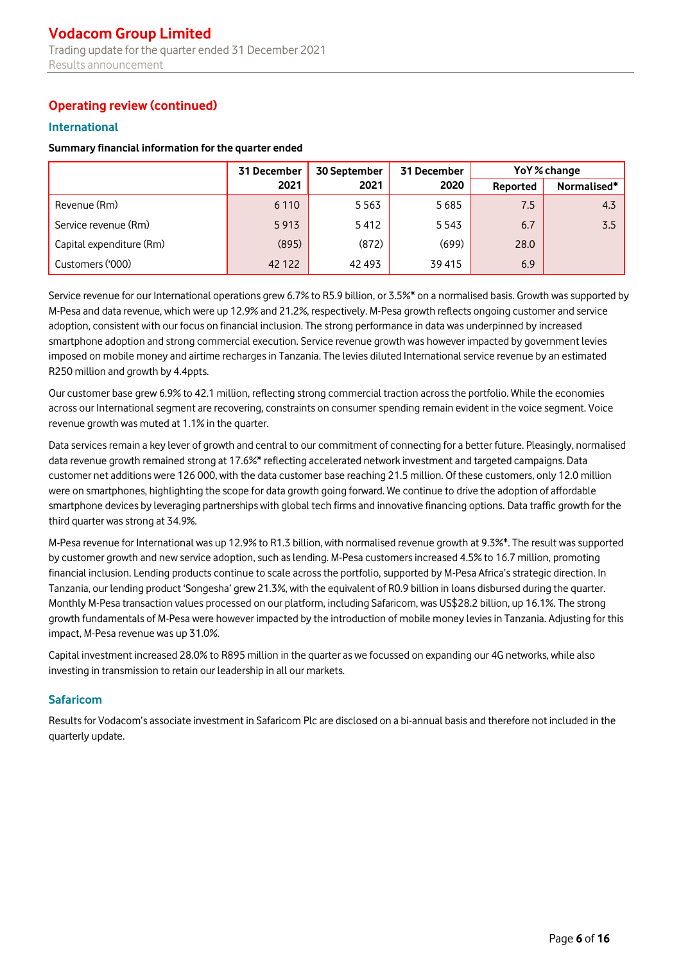# **Operating review (continued)**

## **International**

### **Summary financial information for the quarter ended**

|                          | 31 December | 30 September | 31 December | YoY% change |             |
|--------------------------|-------------|--------------|-------------|-------------|-------------|
|                          | 2021        | 2021         | 2020        | Reported    | Normalised* |
| Revenue (Rm)             | 6 1 1 0     | 5563         | 5685        | 7.5         | 4.3         |
| Service revenue (Rm)     | 5913        | 5412         | 5543        | 6.7         | 3.5         |
| Capital expenditure (Rm) | (895)       | (872)        | (699)       | 28.0        |             |
| Customers ('000)         | 42 122      | 42 493       | 39415       | 6.9         |             |

Service revenue for our International operations grew 6.7% to R5.9 billion, or 3.5%\* on a normalised basis. Growth was supported by M-Pesa and data revenue, which were up 12.9% and 21.2%, respectively. M-Pesa growth reflects ongoing customer and service adoption, consistent with our focus on financial inclusion. The strong performance in data was underpinned by increased smartphone adoption and strong commercial execution. Service revenue growth was however impacted by government levies imposed on mobile money and airtime recharges in Tanzania. The levies diluted International service revenue by an estimated R250 million and growth by 4.4ppts.

Our customer base grew 6.9% to 42.1 million, reflecting strong commercial traction across the portfolio. While the economies across our International segment are recovering, constraints on consumer spending remain evident in the voice segment. Voice revenue growth was muted at 1.1% in the quarter.

Data services remain a key lever of growth and central to our commitment of connecting for a better future. Pleasingly, normalised data revenue growth remained strong at 17.6%\* reflecting accelerated network investment and targeted campaigns. Data customer net additions were 126 000, with the data customer base reaching 21.5 million. Of these customers, only 12.0 million were on smartphones, highlighting the scope for data growth going forward. We continue to drive the adoption of affordable smartphone devices by leveraging partnerships with global tech firms and innovative financing options. Data traffic growth for the third quarter was strong at 34.9%.

M-Pesa revenue for International was up 12.9% to R1.3 billion, with normalised revenue growth at 9.3%\*. The result was supported by customer growth and new service adoption, such as lending. M-Pesa customers increased 4.5% to 16.7 million, promoting financial inclusion. Lending products continue to scale across the portfolio, supported by M-Pesa Africa's strategic direction. In Tanzania, our lending product 'Songesha' grew 21.3%, with the equivalent of R0.9 billion in loans disbursed during the quarter. Monthly M-Pesa transaction values processed on our platform, including Safaricom, was US\$28.2 billion, up 16.1%. The strong growth fundamentals of M-Pesa were however impacted by the introduction of mobile money levies in Tanzania. Adjusting for this impact, M-Pesa revenue was up 31.0%.

Capital investment increased 28.0% to R895 million in the quarter as we focussed on expanding our 4G networks, while also investing in transmission to retain our leadership in all our markets.

# **Safaricom**

Results for Vodacom's associate investment in Safaricom Plc are disclosed on a bi-annual basis and therefore not included in the quarterly update.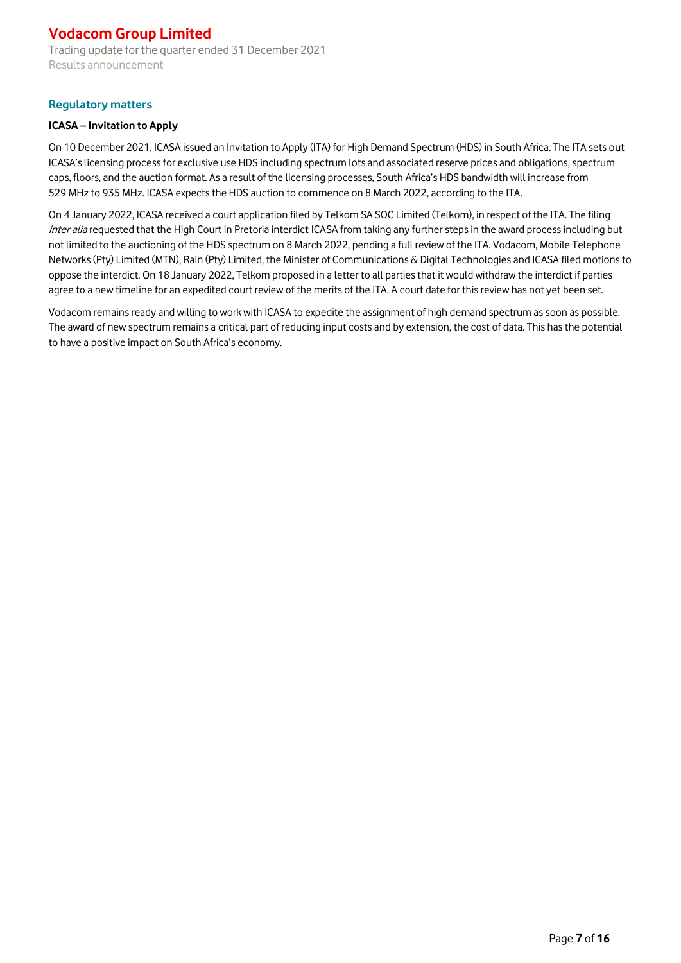# **Regulatory matters**

### **ICASA – Invitation to Apply**

On 10 December 2021, ICASA issued an Invitation to Apply (ITA) for High Demand Spectrum (HDS) in South Africa. The ITA sets out ICASA's licensing process for exclusive use HDS including spectrum lots and associated reserve prices and obligations, spectrum caps, floors, and the auction format. As a result of the licensing processes, South Africa's HDS bandwidth will increase from 529 MHz to 935 MHz. ICASA expects the HDS auction to commence on 8 March 2022, according to the ITA.

On 4 January 2022, ICASA received a court application filed by Telkom SA SOC Limited (Telkom), in respect of the ITA. The filing inter alia requested that the High Court in Pretoria interdict ICASA from taking any further steps in the award process including but not limited to the auctioning of the HDS spectrum on 8 March 2022, pending a full review of the ITA. Vodacom, Mobile Telephone Networks (Pty) Limited (MTN), Rain (Pty) Limited, the Minister of Communications & Digital Technologies and ICASA filed motions to oppose the interdict. On 18 January 2022, Telkom proposed in a letter to all parties that it would withdraw the interdict if parties agree to a new timeline for an expedited court review of the merits of the ITA. A court date for this review has not yet been set.

Vodacom remains ready and willing to work with ICASA to expedite the assignment of high demand spectrum as soon as possible. The award of new spectrum remains a critical part of reducing input costs and by extension, the cost of data. This has the potential to have a positive impact on South Africa's economy.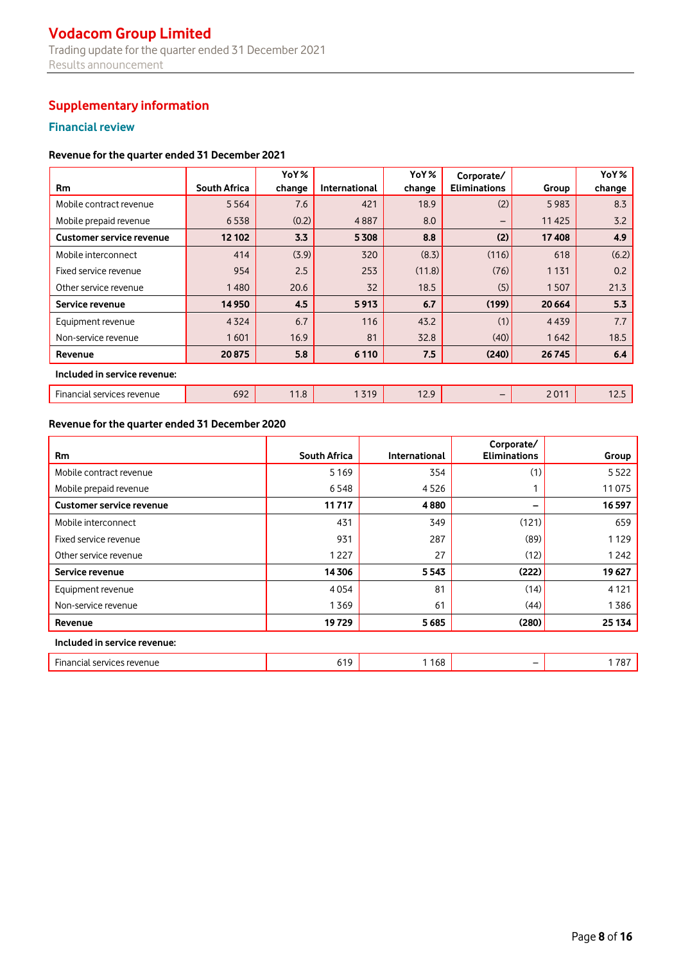# **Vodacom Group Limited** Trading update for the quarter ended 31 December 2021 Results announcement

# **Supplementary information**

# **Financial review**

### **Revenue for the quarter ended 31 December 2021**

|                                 |                     | YoY%   |                      | YoY%   | Corporate/          |         | YoY%   |  |
|---------------------------------|---------------------|--------|----------------------|--------|---------------------|---------|--------|--|
| <b>Rm</b>                       | <b>South Africa</b> | change | <b>International</b> | change | <b>Eliminations</b> | Group   | change |  |
| Mobile contract revenue         | 5564                | 7.6    | 421                  | 18.9   | (2)                 | 5983    | 8.3    |  |
| Mobile prepaid revenue          | 6538                | (0.2)  | 4887                 | 8.0    | -                   | 11425   | 3.2    |  |
| <b>Customer service revenue</b> | 12 102              | 3.3    | 5308                 | 8.8    | (2)                 | 17408   | 4.9    |  |
| Mobile interconnect             | 414                 | (3.9)  | 320                  | (8.3)  | (116)               | 618     | (6.2)  |  |
| Fixed service revenue           | 954                 | 2.5    | 253                  | (11.8) | (76)                | 1 1 3 1 | 0.2    |  |
| Other service revenue           | 1480                | 20.6   | 32                   | 18.5   | (5)                 | 1507    | 21.3   |  |
| Service revenue                 | 14 9 50             | 4.5    | 5913                 | 6.7    | (199)               | 20 6 64 | 5.3    |  |
| Equipment revenue               | 4324                | 6.7    | 116                  | 43.2   | (1)                 | 4439    | 7.7    |  |
| Non-service revenue             | 1601                | 16.9   | 81                   | 32.8   | (40)                | 1642    | 18.5   |  |
| Revenue                         | 20875               | 5.8    | 6 1 1 0              | 7.5    | (240)               | 26 745  | 6.4    |  |
| Included in service revenue:    |                     |        |                      |        |                     |         |        |  |
| Financial services revenue      | 692                 | 11.8   | 1319                 | 12.9   |                     | 2011    | 12.5   |  |

# **Revenue for the quarter ended 31 December 2020**

| <b>Rm</b>                       | <b>South Africa</b> | International | Corporate/<br><b>Eliminations</b> | Group   |  |  |  |
|---------------------------------|---------------------|---------------|-----------------------------------|---------|--|--|--|
| Mobile contract revenue         | 5169                | 354           | (1)                               | 5522    |  |  |  |
| Mobile prepaid revenue          | 6548                | 4526          |                                   | 11075   |  |  |  |
| <b>Customer service revenue</b> | 11717               | 4880          |                                   | 16597   |  |  |  |
| Mobile interconnect             | 431                 | 349           | (121)                             | 659     |  |  |  |
| Fixed service revenue           | 931                 | 287           | (89)                              | 1129    |  |  |  |
| Other service revenue           | 1227                | 27            | (12)                              | 1242    |  |  |  |
| Service revenue                 | 14306               | 5543          | (222)                             | 19 627  |  |  |  |
| Equipment revenue               | 4054                | 81            | (14)                              | 4 1 2 1 |  |  |  |
| Non-service revenue             | 1369                | 61            | (44)                              | 1386    |  |  |  |
| Revenue                         | 19729               | 5685          | (280)                             | 25 134  |  |  |  |
| Included in service revenue:    |                     |               |                                   |         |  |  |  |
| Financial services revenue      | 619                 | 1168          | $\overline{\phantom{m}}$          | 1787    |  |  |  |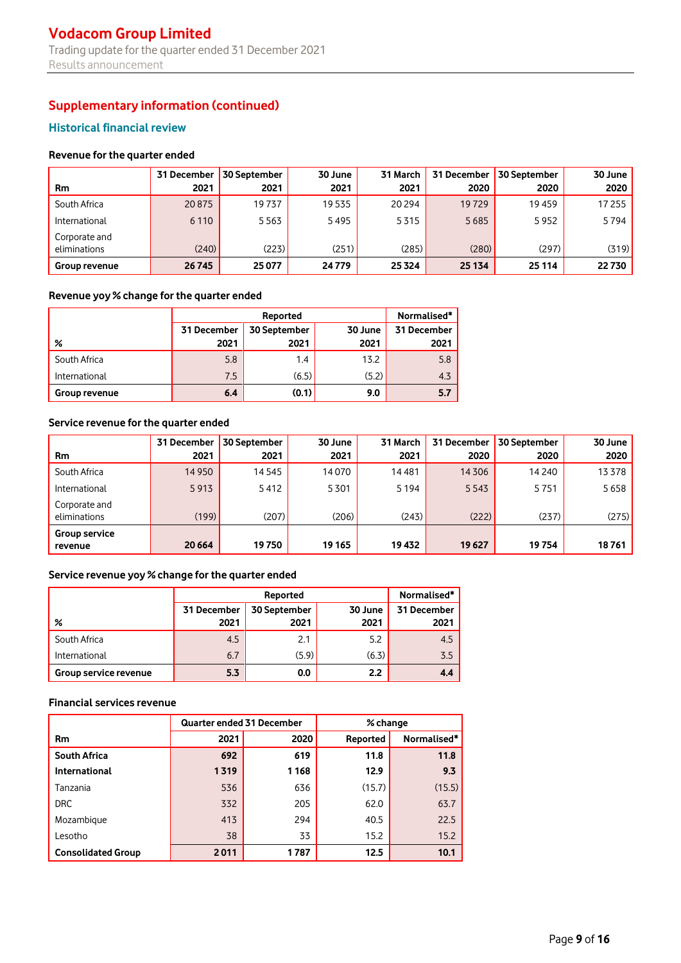# **Historical financial review**

### **Revenue for the quarter ended**

|                               | 31 December | <b>30 September</b> | 30 June | 31 March |        | 31 December   30 September | 30 June |
|-------------------------------|-------------|---------------------|---------|----------|--------|----------------------------|---------|
| <b>Rm</b>                     | 2021        | 2021                | 2021    | 2021     | 2020   | 2020                       | 2020    |
| South Africa                  | 20875       | 19737               | 19535   | 20 294   | 19729  | 19459                      | 17 255  |
| International                 | 6 1 1 0     | 5563                | 5495    | 5315     | 5685   | 5952                       | 5794    |
| Corporate and<br>eliminations | (240)       | (223)               | (251)   | (285)    | (280)  | (297)                      | (319)   |
| <b>Group revenue</b>          | 26745       | 25 077              | 24 7 79 | 25 3 24  | 25 134 | 25 1 14                    | 22730   |

### **Revenue yoy % change for the quarter ended**

|               |             | Reported    |       |      |  |  |  |
|---------------|-------------|-------------|-------|------|--|--|--|
|               | 31 December | 31 December |       |      |  |  |  |
| %             | 2021        | 2021        | 2021  | 2021 |  |  |  |
| South Africa  | 5.8         | 1.4         | 13.2  | 5.8  |  |  |  |
| International | 7.5         | (6.5)       | (5.2) | 4.3  |  |  |  |
| Group revenue | 6.4         | (0.1)       | 9.0   | 5.7  |  |  |  |

# **Service revenue for the quarter ended**

| <b>Rm</b>                       | 31 December<br>2021 | 30 September<br>2021 | 30 June<br>2021 | 31 March<br>2021 | 31 December 1<br>2020 | 30 September<br>2020 | 30 June<br>2020 |
|---------------------------------|---------------------|----------------------|-----------------|------------------|-----------------------|----------------------|-----------------|
| South Africa                    | 14950               | 14 545               | 14070           | 14481            | 14 30 6               | 14 240               | 13378           |
| International                   | 5913                | 5412                 | 5301            | 5 1 9 4          | 5543                  | 5751                 | 5658            |
| Corporate and<br>eliminations   | (199)               | (207)                | (206)           | (243)            | (222)                 | (237)                | (275)           |
| <b>Group service</b><br>revenue | 20 6 64             | 19750                | 19 165          | 19 432           | 19627                 | 19754                | 18761           |

# **Service revenue yoy % change for the quarter ended**

|                       |             | Reported    |       |      |  |  |  |
|-----------------------|-------------|-------------|-------|------|--|--|--|
|                       | 31 December | 31 December |       |      |  |  |  |
| %                     | 2021        | 2021        | 2021  | 2021 |  |  |  |
| South Africa          | 4.5         | 2.1         | 5.2   | 4.5  |  |  |  |
| International         | 6.7         | (5.9)       | (6.3) | 3.5  |  |  |  |
| Group service revenue | 5.3         | 0.0         | 2.2   | 4.4  |  |  |  |

### **Financial services revenue**

|                           | <b>Quarter ended 31 December</b> |         | % change |             |  |
|---------------------------|----------------------------------|---------|----------|-------------|--|
| <b>Rm</b>                 | 2021                             | 2020    | Reported | Normalised* |  |
| <b>South Africa</b>       | 692                              | 619     | 11.8     | 11.8        |  |
| International             | 1319                             | 1 1 6 8 | 12.9     | 9.3         |  |
| Tanzania                  | 536                              | 636     | (15.7)   | (15.5)      |  |
| <b>DRC</b>                | 332                              | 205     | 62.0     | 63.7        |  |
| Mozambique                | 413                              | 294     | 40.5     | 22.5        |  |
| Lesotho                   | 38                               | 33      | 15.2     | 15.2        |  |
| <b>Consolidated Group</b> | 2011                             | 1787    | 12.5     | 10.1        |  |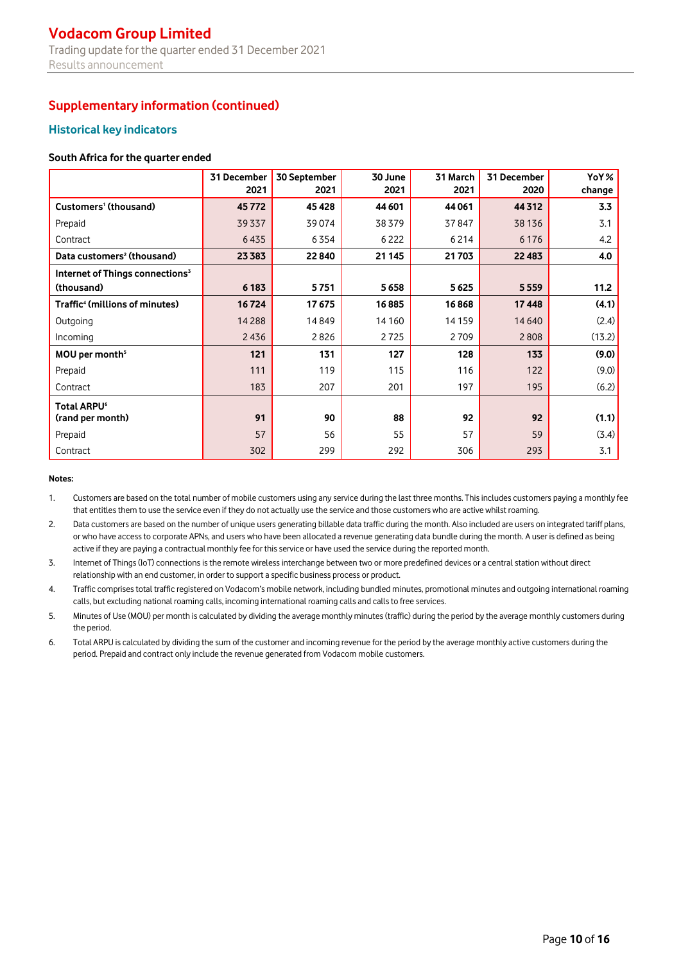# **Vodacom Group Limited** Trading update for the quarter ended 31 December 2021 Results announcement

# **Supplementary information (continued)**

# **Historical key indicators**

#### **South Africa for the quarter ended**

|                                             | 31 December<br>2021 | 30 September<br>2021 | 30 June<br>2021 | 31 March<br>2021 | 31 December<br>2020 | YoY%<br>change |
|---------------------------------------------|---------------------|----------------------|-----------------|------------------|---------------------|----------------|
| Customers <sup>1</sup> (thousand)           | 45772               | 45428                | 44 601          | 44 061           | 44 3 12             | 3.3            |
| Prepaid                                     | 39337               | 39074                | 38379           | 37847            | 38 1 36             | 3.1            |
| Contract                                    | 6435                | 6354                 | 6 2 2 2         | 6 2 1 4          | 6 1 7 6             | 4.2            |
| Data customers <sup>2</sup> (thousand)      | 23 3 8 3            | 22840                | 21 145          | 21703            | 22 4 8 3            | 4.0            |
| Internet of Things connections <sup>3</sup> |                     |                      |                 |                  |                     |                |
| (thousand)                                  | 6 183               | 5751                 | 5658            | 5625             | 5559                | 11.2           |
| Traffic <sup>4</sup> (millions of minutes)  | 16724               | 17675                | 16885           | 16868            | 17448               | (4.1)          |
| Outgoing                                    | 14288               | 14849                | 14 160          | 14 15 9          | 14 640              | (2.4)          |
| Incoming                                    | 2436                | 2826                 | 2725            | 2709             | 2808                | (13.2)         |
| MOU per month <sup>5</sup>                  | 121                 | 131                  | 127             | 128              | 133                 | (9.0)          |
| Prepaid                                     | 111                 | 119                  | 115             | 116              | 122                 | (9.0)          |
| Contract                                    | 183                 | 207                  | 201             | 197              | 195                 | (6.2)          |
| Total ARPU <sup>6</sup>                     |                     |                      |                 |                  |                     |                |
| (rand per month)                            | 91                  | 90                   | 88              | 92               | 92                  | (1.1)          |
| Prepaid                                     | 57                  | 56                   | 55              | 57               | 59                  | (3.4)          |
| Contract                                    | 302                 | 299                  | 292             | 306              | 293                 | 3.1            |

#### **Notes:**

1. Customers are based on the total number of mobile customers using any service during the last three months. This includes customers paying a monthly fee that entitles them to use the service even if they do not actually use the service and those customers who are active whilst roaming.

2. Data customers are based on the number of unique users generating billable data traffic during the month. Also included are users on integrated tariff plans, or who have access to corporate APNs, and users who have been allocated a revenue generating data bundle during the month. A user is defined as being active if they are paying a contractual monthly fee for this service or have used the service during the reported month.

3. Internet of Things (IoT) connections is the remote wireless interchange between two or more predefined devices or a central station without direct relationship with an end customer, in order to support a specific business process or product.

4. Traffic comprises total traffic registered on Vodacom's mobile network, including bundled minutes, promotional minutes and outgoing international roaming calls, but excluding national roaming calls, incoming international roaming calls and calls to free services.

5. Minutes of Use (MOU) per month is calculated by dividing the average monthly minutes (traffic) during the period by the average monthly customers during the period.

6. Total ARPU is calculated by dividing the sum of the customer and incoming revenue for the period by the average monthly active customers during the period. Prepaid and contract only include the revenue generated from Vodacom mobile customers.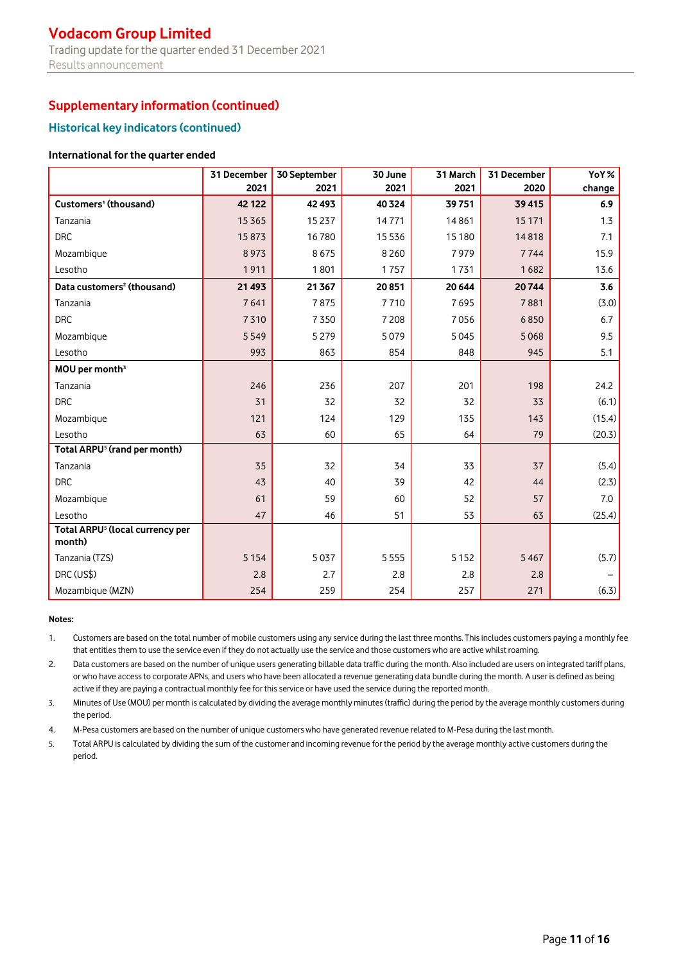# **Vodacom Group Limited** Trading update for the quarter ended 31 December 2021 Results announcement

# **Supplementary information (continued)**

# **Historical key indicators (continued)**

#### **International for the quarter ended**

|                                                       | 31 December | 30 September | 30 June | 31 March | 31 December | YoY%   |
|-------------------------------------------------------|-------------|--------------|---------|----------|-------------|--------|
|                                                       | 2021        | 2021         | 2021    | 2021     | 2020        | change |
| Customers <sup>1</sup> (thousand)                     | 42 122      | 42 493       | 40324   | 39751    | 39 4 15     | 6.9    |
| Tanzania                                              | 15365       | 15 237       | 14771   | 14861    | 15 171      | 1.3    |
| <b>DRC</b>                                            | 15873       | 16780        | 15536   | 15 180   | 14818       | 7.1    |
| Mozambique                                            | 8973        | 8675         | 8260    | 7979     | 7744        | 15.9   |
| Lesotho                                               | 1911        | 1801         | 1757    | 1731     | 1682        | 13.6   |
| Data customers <sup>2</sup> (thousand)                | 21 4 93     | 21 3 67      | 20851   | 20 644   | 20744       | 3.6    |
| Tanzania                                              | 7641        | 7875         | 7710    | 7695     | 7881        | (3.0)  |
| <b>DRC</b>                                            | 7310        | 7350         | 7208    | 7056     | 6850        | 6.7    |
| Mozambique                                            | 5549        | 5279         | 5079    | 5045     | 5068        | 9.5    |
| Lesotho                                               | 993         | 863          | 854     | 848      | 945         | 5.1    |
| MOU per month <sup>3</sup>                            |             |              |         |          |             |        |
| Tanzania                                              | 246         | 236          | 207     | 201      | 198         | 24.2   |
| <b>DRC</b>                                            | 31          | 32           | 32      | 32       | 33          | (6.1)  |
| Mozambique                                            | 121         | 124          | 129     | 135      | 143         | (15.4) |
| Lesotho                                               | 63          | 60           | 65      | 64       | 79          | (20.3) |
| Total ARPU <sup>5</sup> (rand per month)              |             |              |         |          |             |        |
| Tanzania                                              | 35          | 32           | 34      | 33       | 37          | (5.4)  |
| <b>DRC</b>                                            | 43          | 40           | 39      | 42       | 44          | (2.3)  |
| Mozambique                                            | 61          | 59           | 60      | 52       | 57          | 7.0    |
| Lesotho                                               | 47          | 46           | 51      | 53       | 63          | (25.4) |
| Total ARPU <sup>5</sup> (local currency per<br>month) |             |              |         |          |             |        |
| Tanzania (TZS)                                        | 5 1 5 4     | 5037         | 5555    | 5 1 5 2  | 5467        | (5.7)  |
| DRC (US\$)                                            | 2.8         | 2.7          | 2.8     | 2.8      | 2.8         |        |
| Mozambique (MZN)                                      | 254         | 259          | 254     | 257      | 271         | (6.3)  |

#### **Notes:**

1. Customers are based on the total number of mobile customers using any service during the last three months. This includes customers paying a monthly fee that entitles them to use the service even if they do not actually use the service and those customers who are active whilst roaming.

2. Data customers are based on the number of unique users generating billable data traffic during the month. Also included are users on integrated tariff plans, or who have access to corporate APNs, and users who have been allocated a revenue generating data bundle during the month. A user is defined as being active if they are paying a contractual monthly fee for this service or have used the service during the reported month.

3. Minutes of Use (MOU) per month is calculated by dividing the average monthly minutes (traffic) during the period by the average monthly customers during the period.

4. M-Pesa customers are based on the number of unique customers who have generated revenue related to M-Pesa during the last month.

5. Total ARPU is calculated by dividing the sum of the customer and incoming revenue for the period by the average monthly active customers during the period.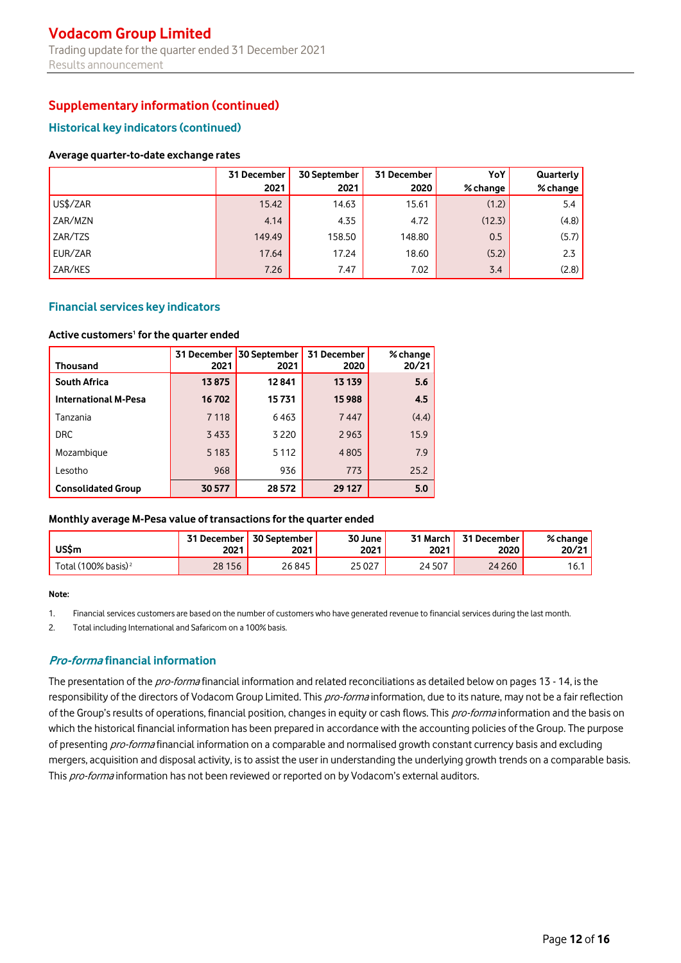## **Historical key indicators (continued)**

#### **Average quarter-to-date exchange rates**

|          | 31 December | 30 September | 31 December | YoY      | Quarterly |
|----------|-------------|--------------|-------------|----------|-----------|
|          | 2021        | 2021         | 2020        | % change | % change  |
| US\$/ZAR | 15.42       | 14.63        | 15.61       | (1.2)    | 5.4       |
| ZAR/MZN  | 4.14        | 4.35         | 4.72        | (12.3)   | (4.8)     |
| ZAR/TZS  | 149.49      | 158.50       | 148.80      | 0.5      | (5.7)     |
| EUR/ZAR  | 17.64       | 17.24        | 18.60       | (5.2)    | 2.3       |
| ZAR/KES  | 7.26        | 7.47         | 7.02        | 3.4      | (2.8)     |

### **Financial services key indicators**

#### **Active customers<sup>1</sup> for the quarter ended**

| <b>Thousand</b>             | 2021    | 31 December 30 September<br>2021 | 31 December<br>2020 | % change<br>20/21 |
|-----------------------------|---------|----------------------------------|---------------------|-------------------|
| <b>South Africa</b>         | 13875   | 12841                            | 13 139              | 5.6               |
| <b>International M-Pesa</b> | 16702   | 15731                            | 15988               | 4.5               |
| Tanzania                    | 7118    | 6463                             | 7447                | (4.4)             |
| <b>DRC</b>                  | 3433    | 3 2 2 0                          | 2963                | 15.9              |
| Mozambique                  | 5 1 8 3 | 5 1 1 2                          | 4805                | 7.9               |
| Lesotho                     | 968     | 936                              | 773                 | 25.2              |
| <b>Consolidated Group</b>   | 30 577  | 28 5 72                          | 29 127              | 5.0               |

#### **Monthly average M-Pesa value of transactions for the quarter ended**

| <b>US\$m</b>                    | <b>31 December</b> | <b>30 September</b> | 30 June | 31 March | 31 December | % change, |
|---------------------------------|--------------------|---------------------|---------|----------|-------------|-----------|
|                                 | 2021               | 2021                | 2021    | 2021     | 2020        | 20/21     |
| Total (100% basis) <sup>2</sup> | 28 15 6            | 26845               | 25 0 27 | 24 507   | 24 260      | 6.7       |

#### **Note:**

1. Financial services customers are based on the number of customers who have generated revenue to financial services during the last month.

2. Total including International and Safaricom on a 100% basis.

## **Pro-forma financial information**

The presentation of the pro-forma financial information and related reconciliations as detailed below on pages 13 - 14, is the responsibility of the directors of Vodacom Group Limited. This pro-forma information, due to its nature, may not be a fair reflection of the Group's results of operations, financial position, changes in equity or cash flows. This *pro-forma* information and the basis on which the historical financial information has been prepared in accordance with the accounting policies of the Group. The purpose of presenting pro-forma financial information on a comparable and normalised growth constant currency basis and excluding mergers, acquisition and disposal activity, is to assist the user in understanding the underlying growth trends on a comparable basis. This pro-forma information has not been reviewed or reported on by Vodacom's external auditors.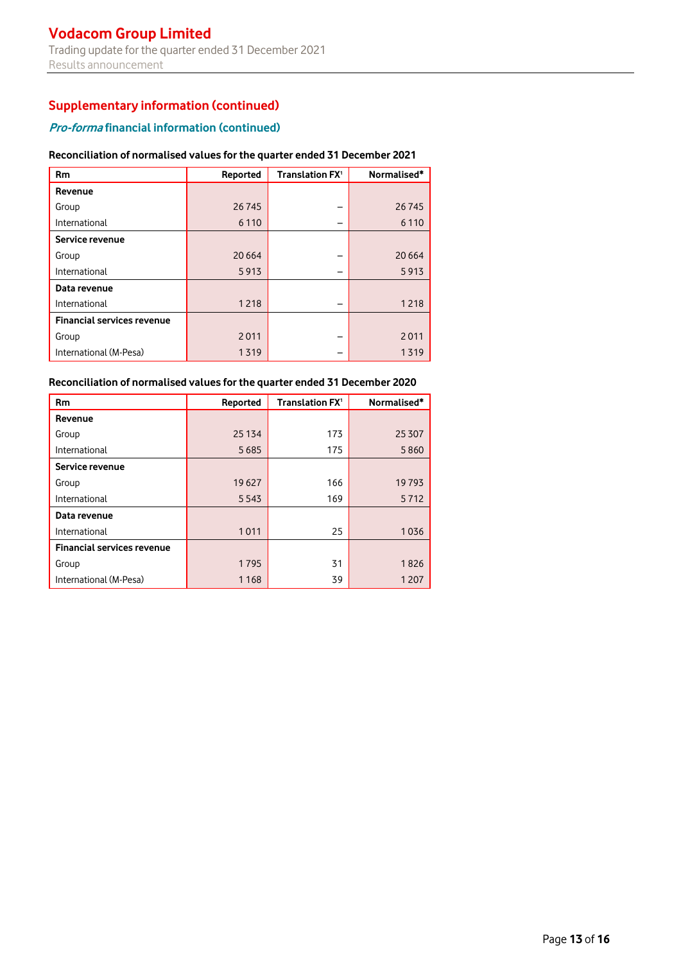# **Pro-forma financial information (continued)**

#### **Reconciliation of normalised values for the quarter ended 31 December 2021**

| <b>Rm</b>                         | Reported | Translation FX <sup>1</sup> | Normalised* |
|-----------------------------------|----------|-----------------------------|-------------|
| Revenue                           |          |                             |             |
| Group                             | 26745    |                             | 26745       |
| International                     | 6 1 1 0  |                             | 6 1 1 0     |
| Service revenue                   |          |                             |             |
| Group                             | 20 6 64  |                             | 20 6 64     |
| International                     | 5913     |                             | 5913        |
| Data revenue                      |          |                             |             |
| International                     | 1218     |                             | 1218        |
| <b>Financial services revenue</b> |          |                             |             |
| Group                             | 2011     | -                           | 2011        |
| International (M-Pesa)            | 1319     |                             | 1319        |

### **Reconciliation of normalised values for the quarter ended 31 December 2020**

| <b>Rm</b>                         | Reported | Translation FX <sup>1</sup> | Normalised* |
|-----------------------------------|----------|-----------------------------|-------------|
| Revenue                           |          |                             |             |
| Group                             | 25 134   | 173                         | 25 30 7     |
| International                     | 5 6 8 5  | 175                         | 5860        |
| Service revenue                   |          |                             |             |
| Group                             | 19 627   | 166                         | 19793       |
| International                     | 5 5 4 3  | 169                         | 5712        |
| Data revenue                      |          |                             |             |
| International                     | 1011     | 25                          | 1036        |
| <b>Financial services revenue</b> |          |                             |             |
| Group                             | 1795     | 31                          | 1826        |
| International (M-Pesa)            | 1 1 6 8  | 39                          | 1 2 0 7     |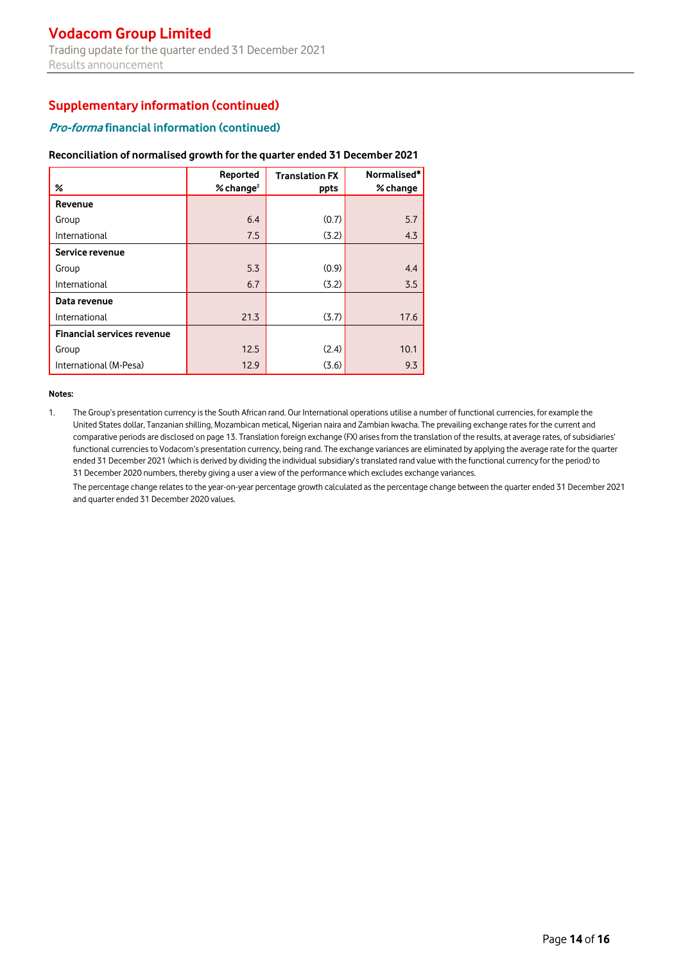### **Pro-forma financial information (continued)**

#### **Reconciliation of normalised growth for the quarter ended 31 December 2021**

|                                   | Reported                | <b>Translation FX</b> | Normalised* |
|-----------------------------------|-------------------------|-----------------------|-------------|
| %                                 | $%$ change <sup>2</sup> | ppts                  | % change    |
| Revenue                           |                         |                       |             |
| Group                             | 6.4                     | (0.7)                 | 5.7         |
| International                     | 7.5                     | (3.2)                 | 4.3         |
| Service revenue                   |                         |                       |             |
| Group                             | 5.3                     | (0.9)                 | 4.4         |
| International                     | 6.7                     | (3.2)                 | 3.5         |
| Data revenue                      |                         |                       |             |
| International                     | 21.3                    | (3.7)                 | 17.6        |
| <b>Financial services revenue</b> |                         |                       |             |
| Group                             | 12.5                    | (2.4)                 | 10.1        |
| International (M-Pesa)            | 12.9                    | (3.6)                 | 9.3         |

#### **Notes:**

1. The Group's presentation currency is the South African rand. Our International operations utilise a number of functional currencies, for example the United States dollar, Tanzanian shilling, Mozambican metical, Nigerian naira and Zambian kwacha. The prevailing exchange rates for the current and comparative periods are disclosed on page 13. Translation foreign exchange (FX) arises from the translation of the results, at average rates, of subsidiaries' functional currencies to Vodacom's presentation currency, being rand. The exchange variances are eliminated by applying the average rate for the quarter ended 31 December 2021 (which is derived by dividing the individual subsidiary's translated rand value with the functional currency for the period) to 31 December 2020 numbers, thereby giving a user a view of the performance which excludes exchange variances.

The percentage change relates to the year-on-year percentage growth calculated as the percentage change between the quarter ended 31 December 2021 and quarter ended 31 December 2020 values.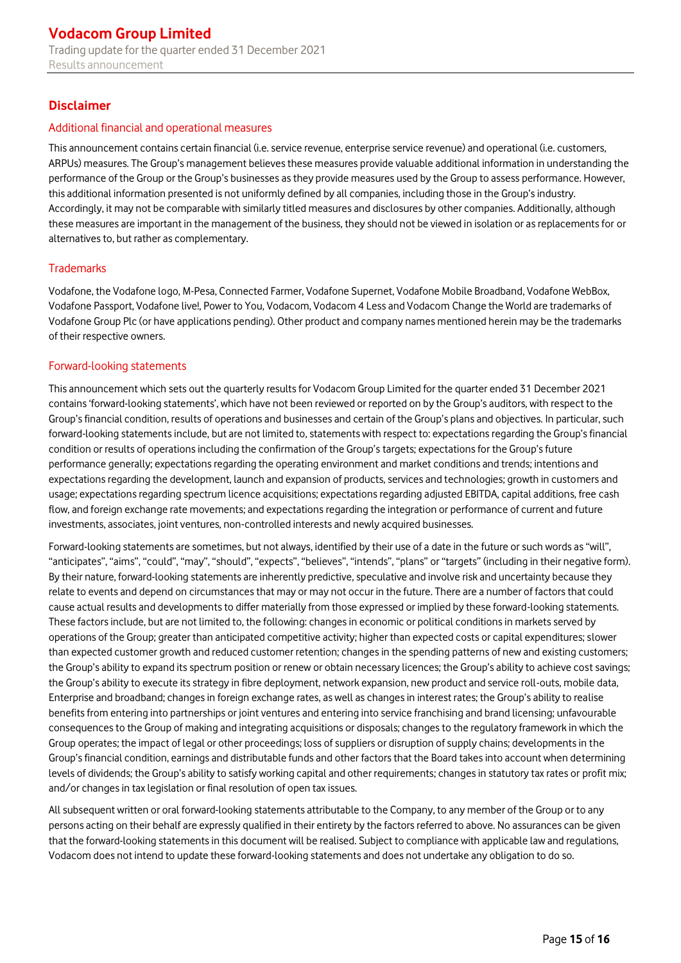# **Disclaimer**

### Additional financial and operational measures

This announcement contains certain financial (i.e. service revenue, enterprise service revenue) and operational (i.e. customers, ARPUs) measures. The Group's management believes these measures provide valuable additional information in understanding the performance of the Group or the Group's businesses asthey provide measures used by the Group to assess performance. However, this additional information presented is not uniformly defined by all companies, including those in the Group's industry. Accordingly, it may not be comparable with similarly titled measures and disclosures by other companies. Additionally, although these measures are important in the management of the business, they should not be viewed in isolation or as replacements for or alternatives to, but rather as complementary.

## **Trademarks**

Vodafone, the Vodafone logo, M-Pesa, Connected Farmer, Vodafone Supernet, Vodafone Mobile Broadband, Vodafone WebBox, Vodafone Passport, Vodafone live!, Power to You, Vodacom, Vodacom 4 Less and Vodacom Change the World are trademarks of Vodafone Group Plc (or have applications pending). Other product and company names mentioned herein may be the trademarks of their respective owners.

### Forward-looking statements

This announcement which sets out the quarterly results for Vodacom Group Limited for the quarter ended 31 December 2021 contains 'forward-looking statements', which have not been reviewed or reported on by the Group's auditors, with respect to the Group's financial condition, results of operations and businesses and certain of the Group's plans and objectives. In particular, such forward-looking statements include, but are not limited to, statements with respect to: expectations regarding the Group's financial condition or results of operations including the confirmation of the Group's targets; expectations for the Group's future performance generally; expectations regarding the operating environment and market conditions and trends; intentions and expectations regarding the development, launch and expansion of products, services and technologies; growth in customers and usage; expectations regarding spectrum licence acquisitions; expectations regarding adjusted EBITDA, capital additions, free cash flow, and foreign exchange rate movements; and expectations regarding the integration or performance of current and future investments, associates, joint ventures, non-controlled interests and newly acquired businesses.

Forward-looking statements are sometimes, but not always, identified by their use of a date in the future or such words as "will", "anticipates", "aims", "could", "may", "should", "expects", "believes", "intends", "plans" or "targets" (including in their negative form). By their nature, forward-looking statements are inherently predictive, speculative and involve risk and uncertainty because they relate to events and depend on circumstances that may or may not occur in the future. There are a number of factors that could cause actual results and developments to differ materially from those expressed or implied by these forward-looking statements. These factors include, but are not limited to, the following: changes in economic or political conditions in markets served by operations of the Group; greater than anticipated competitive activity; higher than expected costs or capital expenditures; slower than expected customer growth and reduced customer retention; changes in the spending patterns of new and existing customers; the Group's ability to expand its spectrum position or renew or obtain necessary licences; the Group's ability to achieve cost savings; the Group's ability to execute its strategy in fibre deployment, network expansion, new product and service roll-outs, mobile data, Enterprise and broadband; changes in foreign exchange rates, as well as changes in interest rates; the Group's ability to realise benefits from entering into partnerships or joint ventures and entering into service franchising and brand licensing; unfavourable consequences to the Group of making and integrating acquisitions or disposals; changes to the regulatory framework in which the Group operates; the impact of legal or other proceedings; loss of suppliers or disruption of supply chains; developments in the Group's financial condition, earnings and distributable funds and other factors that the Board takes into account when determining levels of dividends; the Group's ability to satisfy working capital and other requirements; changes in statutory tax rates or profit mix; and/or changes in tax legislation or final resolution of open tax issues.

All subsequent written or oral forward-looking statements attributable to the Company, to any member of the Group or to any persons acting on their behalf are expressly qualified in their entirety by the factors referred to above. No assurances can be given that the forward-looking statements in this document will be realised. Subject to compliance with applicable law and regulations, Vodacom does not intend to update these forward-looking statements and does not undertake any obligation to do so.